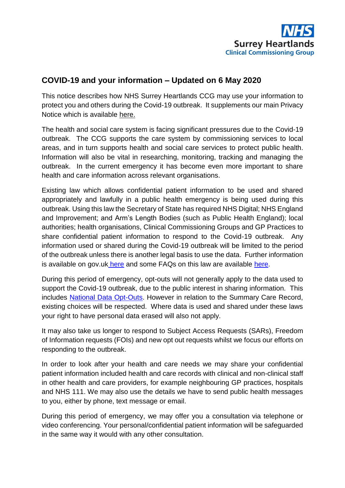

## **COVID-19 and your information – Updated on 6 May 2020**

This notice describes how NHS Surrey Heartlands CCG may use your information to protect you and others during the Covid-19 outbreak. It supplements our main Privacy Notice which is available [here.](http://www.surreyheartlandsccg.nhs.uk/index.php?option=com_content&view=article&id=104&Itemid=342)

The health and social care system is facing significant pressures due to the Covid-19 outbreak. The CCG supports the care system by commissioning services to local areas, and in turn supports health and social care services to protect public health. Information will also be vital in researching, monitoring, tracking and managing the outbreak. In the current emergency it has become even more important to share health and care information across relevant organisations.

Existing law which allows confidential patient information to be used and shared appropriately and lawfully in a public health emergency is being used during this outbreak. Using this law the Secretary of State has required NHS Digital; NHS England and Improvement; and Arm's Length Bodies (such as Public Health England); local authorities; health organisations, Clinical Commissioning Groups and GP Practices to share confidential patient information to respond to the Covid-19 outbreak. Any information used or shared during the Covid-19 outbreak will be limited to the period of the outbreak unless there is another legal basis to use the data. Further information is available on gov.uk [here](https://www.gov.uk/government/publications/coronavirus-covid-19-notification-of-data-controllers-to-share-information) and some FAQs on this law are available [here.](https://www.nhsx.nhs.uk/key-information-and-tools/information-governance-guidance/ig-professionals)

During this period of emergency, opt-outs will not generally apply to the data used to support the Covid-19 outbreak, due to the public interest in sharing information. This includes [National Data Opt-Outs.](https://www.nhs.uk/your-nhs-data-matters/) However in relation to the Summary Care Record, existing choices will be respected. Where data is used and shared under these laws your right to have personal data erased will also not apply.

It may also take us longer to respond to Subject Access Requests (SARs), Freedom of Information requests (FOIs) and new opt out requests whilst we focus our efforts on responding to the outbreak.

In order to look after your health and care needs we may share your confidential patient information included health and care records with clinical and non-clinical staff in other health and care providers, for example neighbouring GP practices, hospitals and NHS 111. We may also use the details we have to send public health messages to you, either by phone, text message or email.

During this period of emergency, we may offer you a consultation via telephone or video conferencing. Your personal/confidential patient information will be safeguarded in the same way it would with any other consultation.